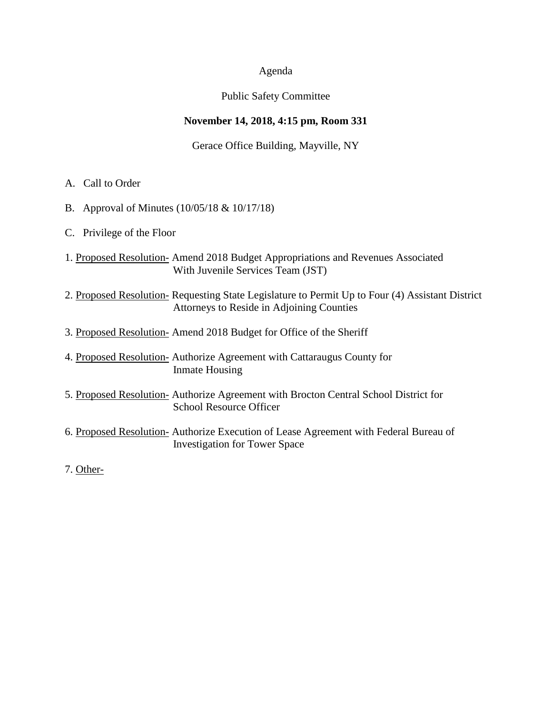# Agenda

# Public Safety Committee

# **November 14, 2018, 4:15 pm, Room 331**

# Gerace Office Building, Mayville, NY

- A. Call to Order
- B. Approval of Minutes (10/05/18 & 10/17/18)
- C. Privilege of the Floor
- 1. Proposed Resolution- Amend 2018 Budget Appropriations and Revenues Associated With Juvenile Services Team (JST)
- 2. Proposed Resolution- Requesting State Legislature to Permit Up to Four (4) Assistant District Attorneys to Reside in Adjoining Counties
- 3. Proposed Resolution- Amend 2018 Budget for Office of the Sheriff
- 4. Proposed Resolution- Authorize Agreement with Cattaraugus County for Inmate Housing
- 5. Proposed Resolution- Authorize Agreement with Brocton Central School District for School Resource Officer
- 6. Proposed Resolution- Authorize Execution of Lease Agreement with Federal Bureau of Investigation for Tower Space
- 7. Other-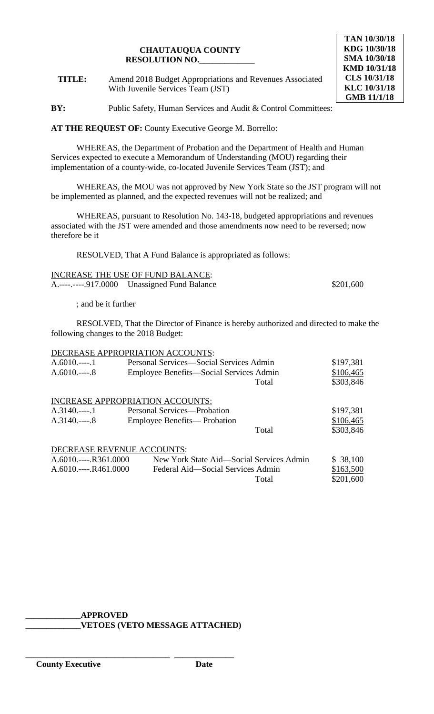## **CHAUTAUQUA COUNTY RESOLUTION NO.\_\_\_\_\_\_\_\_\_\_\_\_\_**

**TITLE:** Amend 2018 Budget Appropriations and Revenues Associated With Juvenile Services Team (JST)

# **TAN 10/30/18 KDG 10/30/18 SMA 10/30/18 KMD 10/31/18 CLS 10/31/18 KLC 10/31/18 GMB 11/1/18**

**BY:** Public Safety, Human Services and Audit & Control Committees:

**AT THE REQUEST OF:** County Executive George M. Borrello:

WHEREAS, the Department of Probation and the Department of Health and Human Services expected to execute a Memorandum of Understanding (MOU) regarding their implementation of a county-wide, co-located Juvenile Services Team (JST); and

WHEREAS, the MOU was not approved by New York State so the JST program will not be implemented as planned, and the expected revenues will not be realized; and

WHEREAS, pursuant to Resolution No. 143-18, budgeted appropriations and revenues associated with the JST were amended and those amendments now need to be reversed; now therefore be it

RESOLVED, That A Fund Balance is appropriated as follows:

| <b>INCREASE THE USE OF FUND BALANCE:</b> |                                              |           |  |
|------------------------------------------|----------------------------------------------|-----------|--|
|                                          | A.----.----.917.0000 Unassigned Fund Balance | \$201,600 |  |

; and be it further

RESOLVED, That the Director of Finance is hereby authorized and directed to make the following changes to the 2018 Budget:

|                      | DECREASE APPROPRIATION ACCOUNTS:         |       |           |
|----------------------|------------------------------------------|-------|-----------|
| $A.6010$ 1           | Personal Services—Social Services Admin  |       | \$197,381 |
| $A.6010$ 8           | Employee Benefits—Social Services Admin  |       | \$106,465 |
|                      |                                          | Total | \$303,846 |
|                      | INCREASE APPROPRIATION ACCOUNTS:         |       |           |
| $A.3140$ 1           | Personal Services—Probation              |       | \$197,381 |
| $A.3140$ 8           | Employee Benefits— Probation             |       | \$106,465 |
|                      |                                          | Total | \$303,846 |
|                      | DECREASE REVENUE ACCOUNTS:               |       |           |
| $A.6010$ R361.0000   | New York State Aid—Social Services Admin |       | \$38,100  |
| $A.6010$ $R461.0000$ | Federal Aid—Social Services Admin        |       | \$163,500 |
|                      |                                          | Total | \$201,600 |

# **\_\_\_\_\_\_\_\_\_\_\_\_\_APPROVED**

\_\_\_\_\_\_\_\_\_\_\_\_\_\_\_\_\_\_\_\_\_\_\_\_\_\_\_\_\_\_\_\_\_\_ \_\_\_\_\_\_\_\_\_\_\_\_\_\_

**\_\_\_\_\_\_\_\_\_\_\_\_\_VETOES (VETO MESSAGE ATTACHED)**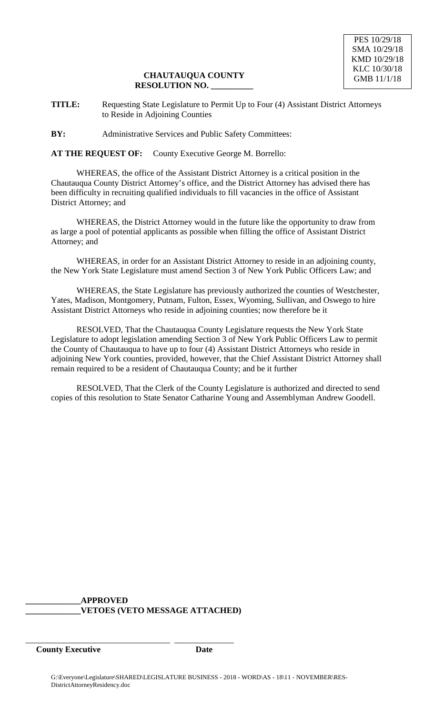# **CHAUTAUQUA COUNTY RESOLUTION NO. \_\_\_\_\_\_\_\_\_\_**

**TITLE:** Requesting State Legislature to Permit Up to Four (4) Assistant District Attorneys to Reside in Adjoining Counties

**BY:** Administrative Services and Public Safety Committees:

**AT THE REQUEST OF:** County Executive George M. Borrello:

WHEREAS, the office of the Assistant District Attorney is a critical position in the Chautauqua County District Attorney's office, and the District Attorney has advised there has been difficulty in recruiting qualified individuals to fill vacancies in the office of Assistant District Attorney; and

WHEREAS, the District Attorney would in the future like the opportunity to draw from as large a pool of potential applicants as possible when filling the office of Assistant District Attorney; and

WHEREAS, in order for an Assistant District Attorney to reside in an adjoining county, the New York State Legislature must amend Section 3 of New York Public Officers Law; and

WHEREAS, the State Legislature has previously authorized the counties of Westchester, Yates, Madison, Montgomery, Putnam, Fulton, Essex, Wyoming, Sullivan, and Oswego to hire Assistant District Attorneys who reside in adjoining counties; now therefore be it

RESOLVED, That the Chautauqua County Legislature requests the New York State Legislature to adopt legislation amending Section 3 of New York Public Officers Law to permit the County of Chautauqua to have up to four (4) Assistant District Attorneys who reside in adjoining New York counties, provided, however, that the Chief Assistant District Attorney shall remain required to be a resident of Chautauqua County; and be it further

RESOLVED, That the Clerk of the County Legislature is authorized and directed to send copies of this resolution to State Senator Catharine Young and Assemblyman Andrew Goodell.

**\_\_\_\_\_\_\_\_\_\_\_\_\_APPROVED \_\_\_\_\_\_\_\_\_\_\_\_\_VETOES (VETO MESSAGE ATTACHED)**

\_\_\_\_\_\_\_\_\_\_\_\_\_\_\_\_\_\_\_\_\_\_\_\_\_\_\_\_\_\_\_\_\_\_ \_\_\_\_\_\_\_\_\_\_\_\_\_\_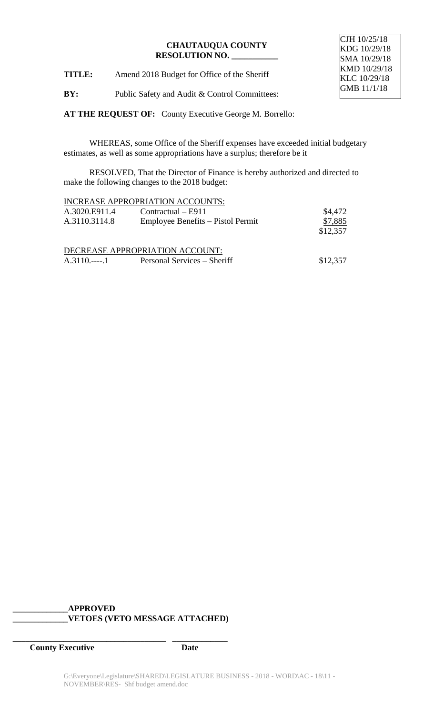## **CHAUTAUQUA COUNTY RESOLUTION NO. \_\_\_\_\_\_\_\_\_\_\_**

CJH 10/25/18 KDG 10/29/18 SMA 10/29/18 KMD 10/29/18 KLC 10/29/18 GMB 11/1/18

**TITLE:** Amend 2018 Budget for Office of the Sheriff

**BY:** Public Safety and Audit & Control Committees:

**AT THE REQUEST OF:** County Executive George M. Borrello:

WHEREAS, some Office of the Sheriff expenses have exceeded initial budgetary estimates, as well as some appropriations have a surplus; therefore be it

RESOLVED, That the Director of Finance is hereby authorized and directed to make the following changes to the 2018 budget:

|               | <b>INCREASE APPROPRIATION ACCOUNTS:</b> |          |
|---------------|-----------------------------------------|----------|
| A.3020.E911.4 | $Contractual - E911$                    | \$4,472  |
| A.3110.3114.8 | Employee Benefits – Pistol Permit       | \$7,885  |
|               |                                         | \$12,357 |
|               | DECREASE APPROPRIATION ACCOUNT:         |          |
|               | Personal Services – Sheriff             | \$12,357 |

# **\_\_\_\_\_\_\_\_\_\_\_\_\_APPROVED \_\_\_\_\_\_\_\_\_\_\_\_\_VETOES (VETO MESSAGE ATTACHED)**

**\_\_\_\_\_\_\_\_\_\_\_\_\_\_\_\_\_\_\_\_\_\_\_\_\_\_\_\_\_\_\_\_\_\_\_\_ \_\_\_\_\_\_\_\_\_\_\_\_\_**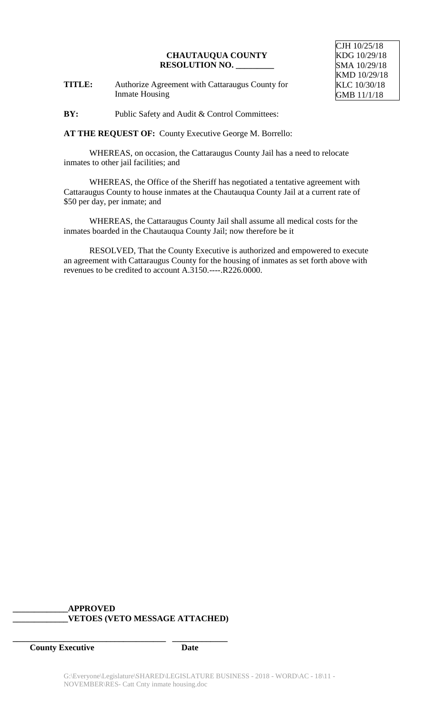#### **CHAUTAUQUA COUNTY RESOLUTION NO. \_\_\_\_\_\_\_\_\_**

**TITLE:** Authorize Agreement with Cattaraugus County for Inmate Housing

CJH 10/25/18 KDG 10/29/18 SMA 10/29/18 KMD 10/29/18 KLC 10/30/18 GMB 11/1/18

**BY:** Public Safety and Audit & Control Committees:

**AT THE REQUEST OF:** County Executive George M. Borrello:

WHEREAS, on occasion, the Cattaraugus County Jail has a need to relocate inmates to other jail facilities; and

WHEREAS, the Office of the Sheriff has negotiated a tentative agreement with Cattaraugus County to house inmates at the Chautauqua County Jail at a current rate of \$50 per day, per inmate; and

WHEREAS, the Cattaraugus County Jail shall assume all medical costs for the inmates boarded in the Chautauqua County Jail; now therefore be it

RESOLVED, That the County Executive is authorized and empowered to execute an agreement with Cattaraugus County for the housing of inmates as set forth above with revenues to be credited to account A.3150.----.R226.0000.

# **\_\_\_\_\_\_\_\_\_\_\_\_\_APPROVED \_\_\_\_\_\_\_\_\_\_\_\_\_VETOES (VETO MESSAGE ATTACHED)**

**\_\_\_\_\_\_\_\_\_\_\_\_\_\_\_\_\_\_\_\_\_\_\_\_\_\_\_\_\_\_\_\_\_\_\_\_ \_\_\_\_\_\_\_\_\_\_\_\_\_**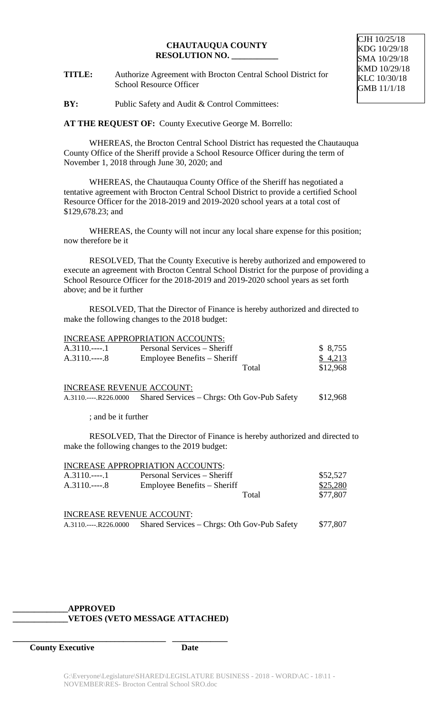#### **CHAUTAUQUA COUNTY RESOLUTION NO. \_\_\_\_\_\_\_\_\_\_\_**

**TITLE:** Authorize Agreement with Brocton Central School District for School Resource Officer

**BY:** Public Safety and Audit & Control Committees:

**AT THE REQUEST OF:** County Executive George M. Borrello:

WHEREAS, the Brocton Central School District has requested the Chautauqua County Office of the Sheriff provide a School Resource Officer during the term of November 1, 2018 through June 30, 2020; and

WHEREAS, the Chautauqua County Office of the Sheriff has negotiated a tentative agreement with Brocton Central School District to provide a certified School Resource Officer for the 2018-2019 and 2019-2020 school years at a total cost of \$129,678.23; and

WHEREAS, the County will not incur any local share expense for this position; now therefore be it

RESOLVED, That the County Executive is hereby authorized and empowered to execute an agreement with Brocton Central School District for the purpose of providing a School Resource Officer for the 2018-2019 and 2019-2020 school years as set forth above; and be it further

RESOLVED, That the Director of Finance is hereby authorized and directed to make the following changes to the 2018 budget:

|            | <b>INCREASE APPROPRIATION ACCOUNTS:</b> |          |
|------------|-----------------------------------------|----------|
| $A.3110$ 1 | Personal Services – Sheriff             | \$8,755  |
| $A.3110$ 8 | Employee Benefits – Sheriff             | \$4,213  |
|            | Total                                   | \$12,968 |

#### INCREASE REVENUE ACCOUNT:

A.3110.----.R226.0000 Shared Services – Chrgs: Oth Gov-Pub Safety \$12,968

; and be it further

RESOLVED, That the Director of Finance is hereby authorized and directed to make the following changes to the 2019 budget:

|            | INCREASE APPROPRIATION ACCOUNTS: |       |          |
|------------|----------------------------------|-------|----------|
| $A.3110$ 1 | Personal Services – Sheriff      |       | \$52,527 |
| $A.3110$ 8 | Employee Benefits – Sheriff      |       | \$25,280 |
|            |                                  | Total | \$77,807 |
|            | <b>INCREASE REVENUE ACCOUNT:</b> |       |          |

| $A.3110$ .----.R226.0000 | Shared Services – Chrgs: Oth Gov-Pub Safety | \$77,807 |
|--------------------------|---------------------------------------------|----------|
|                          |                                             |          |

# **\_\_\_\_\_\_\_\_\_\_\_\_\_APPROVED \_\_\_\_\_\_\_\_\_\_\_\_\_VETOES (VETO MESSAGE ATTACHED)**

**\_\_\_\_\_\_\_\_\_\_\_\_\_\_\_\_\_\_\_\_\_\_\_\_\_\_\_\_\_\_\_\_\_\_\_\_ \_\_\_\_\_\_\_\_\_\_\_\_\_**